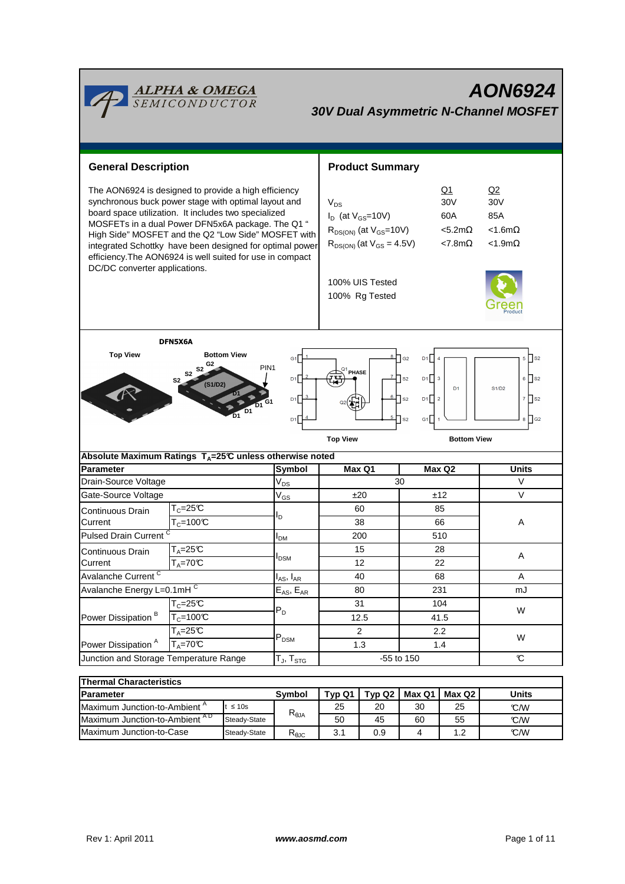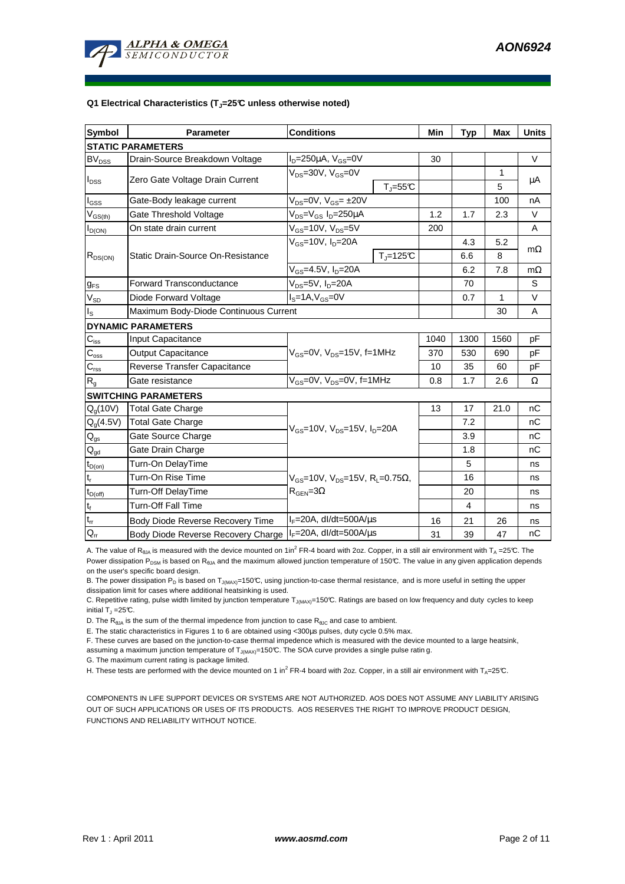

#### **Q1 Electrical Characteristics (TJ=25°C unless otherwise noted)**

| <b>Symbol</b>                           | <b>Parameter</b>                      | <b>Conditions</b>                                                                           |                              | Min  | <b>Typ</b> | <b>Max</b> | <b>Units</b> |  |  |  |  |
|-----------------------------------------|---------------------------------------|---------------------------------------------------------------------------------------------|------------------------------|------|------------|------------|--------------|--|--|--|--|
| <b>STATIC PARAMETERS</b>                |                                       |                                                                                             |                              |      |            |            |              |  |  |  |  |
| <b>BV<sub>DSS</sub></b>                 | Drain-Source Breakdown Voltage        | $I_D = 250 \mu A$ , $V_{GS} = 0V$                                                           |                              | 30   |            |            | $\vee$       |  |  |  |  |
| $I_{DSS}$                               | Zero Gate Voltage Drain Current       | $V_{DS}$ =30V, $V_{GS}$ =0V                                                                 |                              |      |            | 1          | μA           |  |  |  |  |
|                                         |                                       |                                                                                             | $T_{\text{J}} = 55^{\circ}C$ |      |            | 5          |              |  |  |  |  |
| $I_{GSS}$                               | Gate-Body leakage current             | $V_{DS} = 0V$ , $V_{GS} = \pm 20V$                                                          |                              |      |            | 100        | nA           |  |  |  |  |
| $\mathsf{V}_{\mathsf{GS}(\mathsf{th})}$ | Gate Threshold Voltage                | $V_{DS} = V_{GS} I_D = 250 \mu A$                                                           |                              | 1.2  | 1.7        | 2.3        | $\vee$       |  |  |  |  |
| $I_{D(ON)}$                             | On state drain current                | $V_{GS}$ =10V, $V_{DS}$ =5V                                                                 |                              | 200  |            |            | A            |  |  |  |  |
| $R_{DS(ON)}$                            | Static Drain-Source On-Resistance     | $V_{GS}$ =10V, $I_D$ =20A                                                                   |                              |      | 4.3        | 5.2        |              |  |  |  |  |
|                                         |                                       |                                                                                             | $T_{\parallel} = 125$ °C     |      | 6.6        | 8          | $m\Omega$    |  |  |  |  |
|                                         |                                       | $V_{GS} = 4.5V, I_D = 20A$                                                                  |                              |      | 6.2        | 7.8        | $m\Omega$    |  |  |  |  |
| <b>g</b> <sub>FS</sub>                  | <b>Forward Transconductance</b>       | $V_{DS} = 5V$ , $I_D = 20A$                                                                 |                              |      | 70         |            | S            |  |  |  |  |
| $V_{SD}$                                | Diode Forward Voltage                 | $IS=1A, VGS=0V$                                                                             |                              |      | 0.7        | 1          | V            |  |  |  |  |
| $I_{\rm S}$                             | Maximum Body-Diode Continuous Current |                                                                                             |                              |      |            | 30         | A            |  |  |  |  |
|                                         | <b>DYNAMIC PARAMETERS</b>             |                                                                                             |                              |      |            |            |              |  |  |  |  |
| $C_{\text{iss}}$                        | Input Capacitance                     | $V_{GS}$ =0V, $V_{DS}$ =15V, f=1MHz                                                         |                              | 1040 | 1300       | 1560       | рF           |  |  |  |  |
| $C_{\rm oss}$                           | <b>Output Capacitance</b>             |                                                                                             |                              | 370  | 530        | 690        | pF           |  |  |  |  |
| $C_{\rm rss}$                           | Reverse Transfer Capacitance          |                                                                                             |                              | 10   | 35         | 60         | pF           |  |  |  |  |
| $R_{g}$                                 | Gate resistance                       | $V_{GS}$ =0V, $V_{DS}$ =0V, f=1MHz                                                          |                              | 0.8  | 1.7        | 2.6        | Ω            |  |  |  |  |
|                                         | <b>SWITCHING PARAMETERS</b>           |                                                                                             |                              |      |            |            |              |  |  |  |  |
| Q <sub>a</sub> (10V)                    | <b>Total Gate Charge</b>              | $V_{\text{GS}}$ =10V, $V_{\text{DS}}$ =15V, $I_{\text{D}}$ =20A                             |                              | 13   | 17         | 21.0       | nC           |  |  |  |  |
| $Q_g(4.5V)$                             | <b>Total Gate Charge</b>              |                                                                                             |                              |      | 7.2        |            | nC           |  |  |  |  |
| $\mathsf{Q}_{\underline{\text{gs}}}$    | Gate Source Charge                    |                                                                                             |                              |      | 3.9        |            | nC           |  |  |  |  |
| $Q_{gd}$                                | Gate Drain Charge                     |                                                                                             |                              |      | 1.8        |            | nC           |  |  |  |  |
| $t_{D(0n)}$                             | Turn-On DelayTime                     |                                                                                             |                              |      | 5          |            | ns           |  |  |  |  |
| $\mathfrak{t}_{\mathsf{r}}$             | Turn-On Rise Time                     | $V_{GS}$ =10V, $V_{DS}$ =15V, R <sub>L</sub> =0.75 $\Omega$ ,<br>$R_{\text{GEN}} = 3\Omega$ |                              |      | 16         |            | ns           |  |  |  |  |
| $t_{D(\underline{off})}$                | Turn-Off DelayTime                    |                                                                                             |                              |      | 20         |            | ns           |  |  |  |  |
| $t_f$                                   | <b>Turn-Off Fall Time</b>             |                                                                                             |                              |      | 4          |            | ns           |  |  |  |  |
| $t_{rr}$                                | Body Diode Reverse Recovery Time      | $I_F = 20A$ , dl/dt=500A/ $\mu$ s                                                           |                              | 16   | 21         | 26         | ns           |  |  |  |  |
| $Q_{rr}$                                | Body Diode Reverse Recovery Charge    | $I_F = 20A$ , dl/dt=500A/us                                                                 |                              | 31   | 39         | 47         | nC           |  |  |  |  |

A. The value of R<sub>θJA</sub> is measured with the device mounted on 1in<sup>2</sup> FR-4 board with 2oz. Copper, in a still air environment with T<sub>A</sub> =25°C. The Power dissipation P<sub>DSM</sub> is based on R<sub>θJA</sub> and the maximum allowed junction temperature of 150°C. The value in any given application depends on the user's specific board design.

B. The power dissipation P<sub>D</sub> is based on T<sub>J(MAX)</sub>=150°C, using junction-to-case thermal resistance, and is more useful in setting the upper dissipation limit for cases where additional heatsinking is used.

C. Repetitive rating, pulse width limited by junction temperature  $T_{J(MAY)}$ =150°C. Ratings are based on low frequency and duty cycles to keep initial T $_{\textrm{\scriptsize{J}}}$  =25 $\mathbb{C}.$ 

D. The  $R_{\theta JA}$  is the sum of the thermal impedence from junction to case  $R_{\theta JC}$  and case to ambient.

E. The static characteristics in Figures 1 to 6 are obtained using <300µs pulses, duty cycle 0.5% max.

F. These curves are based on the junction-to-case thermal impedence which is measured with the device mounted to a large heatsink,

assuming a maximum junction temperature of  $T_{J(MAX)}$ =150°C. The SOA curve provides a single pulse ratin g.

G. The maximum current rating is package limited.

H. These tests are performed with the device mounted on 1 in<sup>2</sup> FR-4 board with 2oz. Copper, in a still air environment with T<sub>A</sub>=25°C.

COMPONENTS IN LIFE SUPPORT DEVICES OR SYSTEMS ARE NOT AUTHORIZED. AOS DOES NOT ASSUME ANY LIABILITY ARISING OUT OF SUCH APPLICATIONS OR USES OF ITS PRODUCTS. AOS RESERVES THE RIGHT TO IMPROVE PRODUCT DESIGN, FUNCTIONS AND RELIABILITY WITHOUT NOTICE.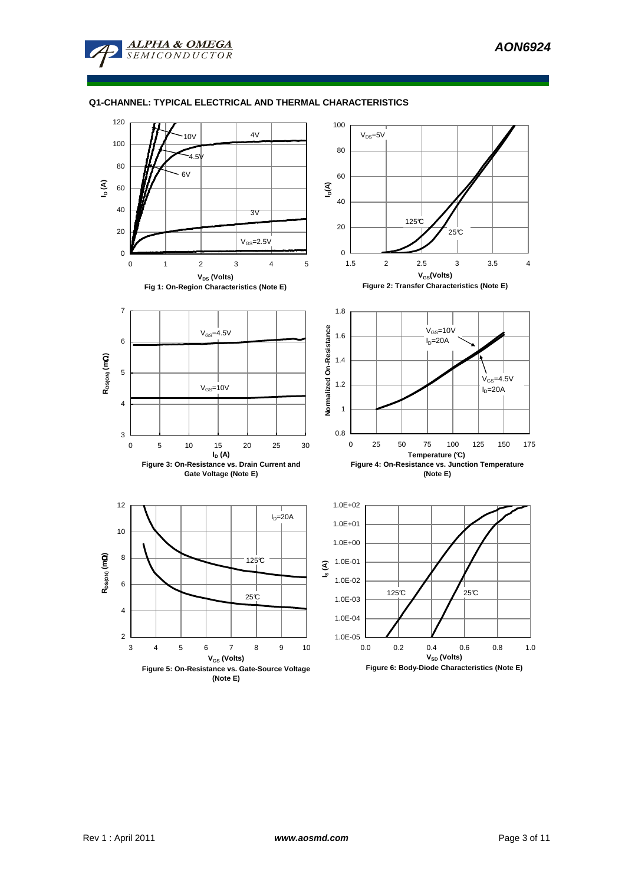

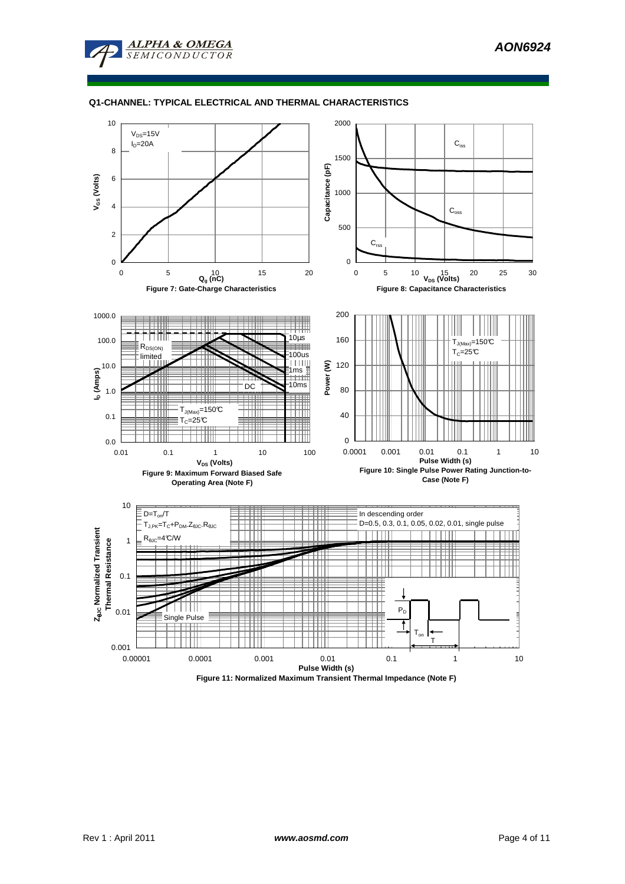



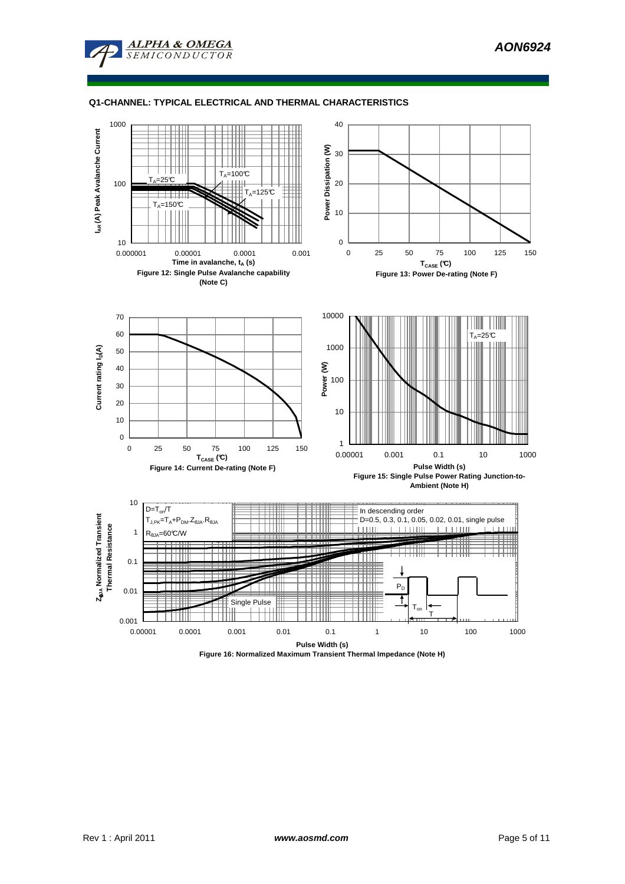



**Figure 16: Normalized Maximum Transient Thermal Impedance (Note H)**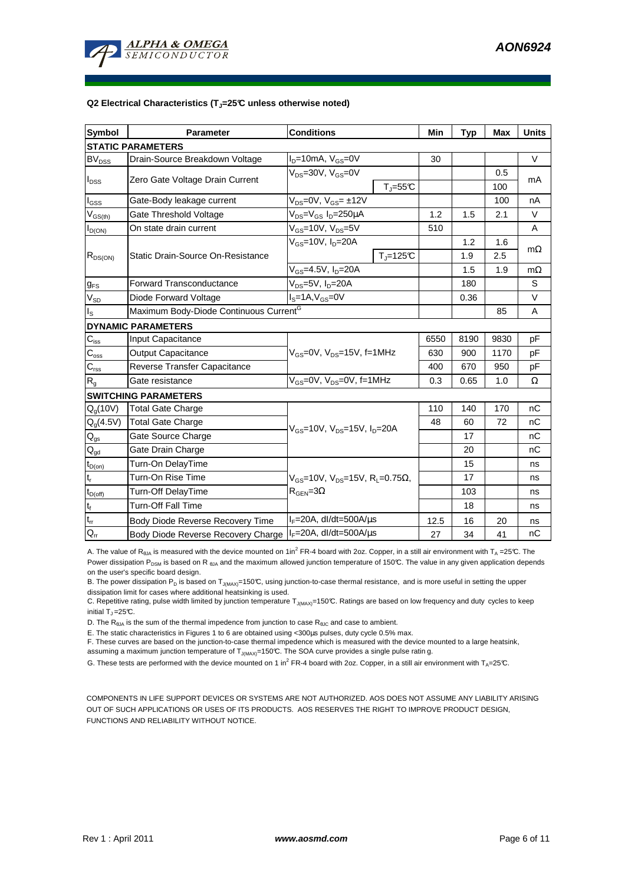

#### **Q2 Electrical Characteristics (TJ=25°C unless otherwise noted)**

| <b>Symbol</b>                           | <b>Parameter</b>                                   | <b>Conditions</b>                                                                  |                              | Min  | <b>Typ</b> | <b>Max</b> | <b>Units</b> |  |  |  |  |
|-----------------------------------------|----------------------------------------------------|------------------------------------------------------------------------------------|------------------------------|------|------------|------------|--------------|--|--|--|--|
| <b>STATIC PARAMETERS</b>                |                                                    |                                                                                    |                              |      |            |            |              |  |  |  |  |
| <b>BV<sub>DSS</sub></b>                 | Drain-Source Breakdown Voltage                     | $I_D = 10mA$ , $V_{GS} = 0V$                                                       |                              | 30   |            |            | $\vee$       |  |  |  |  |
| $I_{DSS}$                               | Zero Gate Voltage Drain Current                    | $V_{DS}$ =30V, $V_{GS}$ =0V                                                        |                              |      |            | 0.5        | mA           |  |  |  |  |
|                                         |                                                    |                                                                                    | $T_{\text{J}} = 55^{\circ}C$ |      |            | 100        |              |  |  |  |  |
| $I_{GSS}$                               | Gate-Body leakage current                          | $V_{DS} = 0V$ , $V_{GS} = \pm 12V$                                                 |                              |      |            | 100        | nA           |  |  |  |  |
| $\mathsf{V}_{\mathsf{GS}(\mathsf{th})}$ | Gate Threshold Voltage                             | $V_{DS} = V_{GS} I_D = 250 \mu A$                                                  |                              | 1.2  | 1.5        | 2.1        | $\vee$       |  |  |  |  |
| $I_{D(ON)}$                             | On state drain current                             | $V_{GS}$ =10V, $V_{DS}$ =5V                                                        |                              | 510  |            |            | A            |  |  |  |  |
| $R_{DS(ON)}$                            | Static Drain-Source On-Resistance                  | $V_{GS}$ =10V, $I_D$ =20A                                                          |                              |      | 1.2        | 1.6        | $m\Omega$    |  |  |  |  |
|                                         |                                                    |                                                                                    | $T_{\parallel} = 125$ °C     |      | 1.9        | 2.5        |              |  |  |  |  |
|                                         |                                                    | $V_{GS}$ =4.5V, I <sub>D</sub> =20A                                                |                              |      | 1.5        | 1.9        | $m\Omega$    |  |  |  |  |
| <b>g</b> <sub>FS</sub>                  | <b>Forward Transconductance</b>                    | $V_{DS}$ =5V, $I_D$ =20A                                                           |                              |      | 180        |            | S            |  |  |  |  |
| $V_{SD}$                                | Diode Forward Voltage                              | $IS=1A, VGS=0V$                                                                    |                              |      | 0.36       |            | V            |  |  |  |  |
| $I_{\rm S}$                             | Maximum Body-Diode Continuous Current <sup>G</sup> |                                                                                    |                              |      |            | 85         | A            |  |  |  |  |
|                                         | <b>DYNAMIC PARAMETERS</b>                          |                                                                                    |                              |      |            |            |              |  |  |  |  |
| $C_{\text{iss}}$                        | Input Capacitance                                  | $V_{GS}$ =0V, $V_{DS}$ =15V, f=1MHz                                                |                              | 6550 | 8190       | 9830       | рF           |  |  |  |  |
| $C_{\rm oss}$                           | <b>Output Capacitance</b>                          |                                                                                    |                              | 630  | 900        | 1170       | pF           |  |  |  |  |
| $C_{\rm rss}$                           | Reverse Transfer Capacitance                       |                                                                                    |                              | 400  | 670        | 950        | pF           |  |  |  |  |
| $R_{g}$                                 | Gate resistance                                    | $V_{GS}$ =0V, $V_{DS}$ =0V, f=1MHz                                                 |                              | 0.3  | 0.65       | 1.0        | Ω            |  |  |  |  |
|                                         | <b>SWITCHING PARAMETERS</b>                        |                                                                                    |                              |      |            |            |              |  |  |  |  |
| Q <sub>a</sub> (10V)                    | <b>Total Gate Charge</b>                           | $V_{\text{GS}}$ =10V, $V_{\text{DS}}$ =15V, $I_{\text{D}}$ =20A                    |                              | 110  | 140        | 170        | nC           |  |  |  |  |
| $Q_g(4.5V)$                             | <b>Total Gate Charge</b>                           |                                                                                    |                              | 48   | 60         | 72         | nC           |  |  |  |  |
| $\mathsf{Q}_{\underline{\text{gs}}}$    | Gate Source Charge                                 |                                                                                    |                              |      | 17         |            | nC           |  |  |  |  |
| $Q_{gd}$                                | Gate Drain Charge                                  |                                                                                    |                              |      | 20         |            | nC           |  |  |  |  |
| $t_{D(0n)}$                             | Turn-On DelayTime                                  | $V_{GS}$ =10V, $V_{DS}$ =15V, R <sub>L</sub> =0.75Ω,<br>$R_{\text{GEN}} = 3\Omega$ |                              |      | 15         |            | ns           |  |  |  |  |
| $\mathfrak{t}_{\mathsf{r}}$             | Turn-On Rise Time                                  |                                                                                    |                              |      | 17         |            | ns           |  |  |  |  |
| $t_{D(\underline{off})}$                | Turn-Off DelayTime                                 |                                                                                    |                              |      | 103        |            | ns           |  |  |  |  |
| $t_f$                                   | <b>Turn-Off Fall Time</b>                          |                                                                                    |                              |      | 18         |            | ns           |  |  |  |  |
| $t_{rr}$                                | Body Diode Reverse Recovery Time                   | $I_F = 20A$ , dl/dt=500A/ $\mu$ s                                                  |                              | 12.5 | 16         | 20         | ns           |  |  |  |  |
| $Q_{rr}$                                | Body Diode Reverse Recovery Charge                 | $I_F = 20A$ , dl/dt=500A/ $\mu$ s                                                  |                              | 27   | 34         | 41         | nC           |  |  |  |  |

A. The value of R<sub>θJA</sub> is measured with the device mounted on 1in<sup>2</sup> FR-4 board with 2oz. Copper, in a still air environment with T<sub>A</sub> =25℃. The Power dissipation P<sub>DSM</sub> is based on R<sub>6JA</sub> and the maximum allowed junction temperature of 150°C. The value in any given application depends on the user's specific board design.

B. The power dissipation P<sub>D</sub> is based on T<sub>J(MAX)</sub>=150°C, using junction-to-case thermal resistance, and is more useful in setting the upper dissipation limit for cases where additional heatsinking is used.

C. Repetitive rating, pulse width limited by junction temperature T<sub>J(MAX)</sub>=150°C. Ratings are based on low frequency and duty cycles to keep initial  $T_J = 25^{\circ}C$ .

D. The  $R_{\theta JA}$  is the sum of the thermal impedence from junction to case  $R_{\theta JC}$  and case to ambient.

E. The static characteristics in Figures 1 to 6 are obtained using <300µs pulses, duty cycle 0.5% max.

F. These curves are based on the junction-to-case thermal impedence which is measured with the device mounted to a large heatsink, assuming a maximum junction temperature of T<sub>J(MAX)</sub>=150°C. The SOA curve provides a single pulse ratin g.

G. These tests are performed with the device mounted on 1 in<sup>2</sup> FR-4 board with 2oz. Copper, in a still air environment with T<sub>A</sub>=25°C.

COMPONENTS IN LIFE SUPPORT DEVICES OR SYSTEMS ARE NOT AUTHORIZED. AOS DOES NOT ASSUME ANY LIABILITY ARISING OUT OF SUCH APPLICATIONS OR USES OF ITS PRODUCTS. AOS RESERVES THE RIGHT TO IMPROVE PRODUCT DESIGN, FUNCTIONS AND RELIABILITY WITHOUT NOTICE.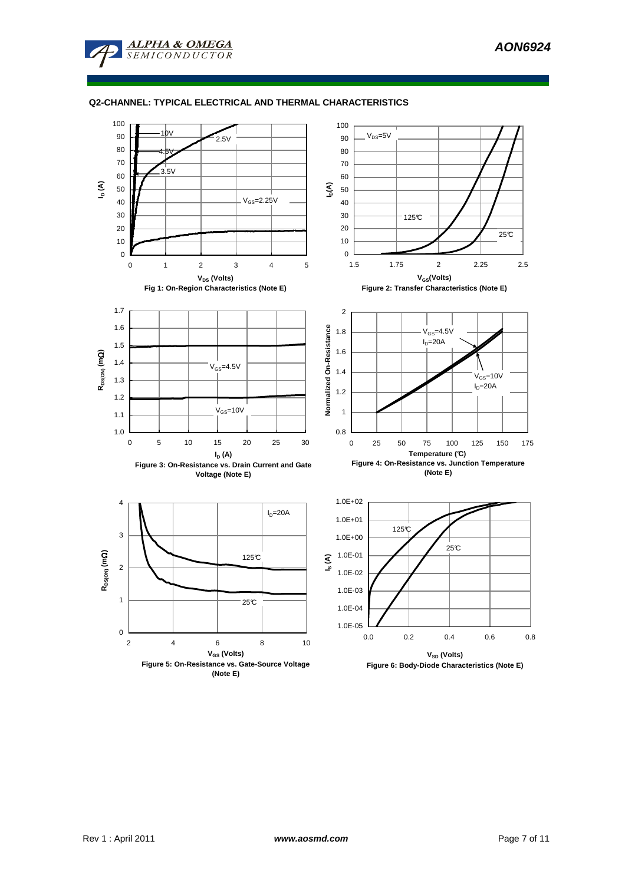

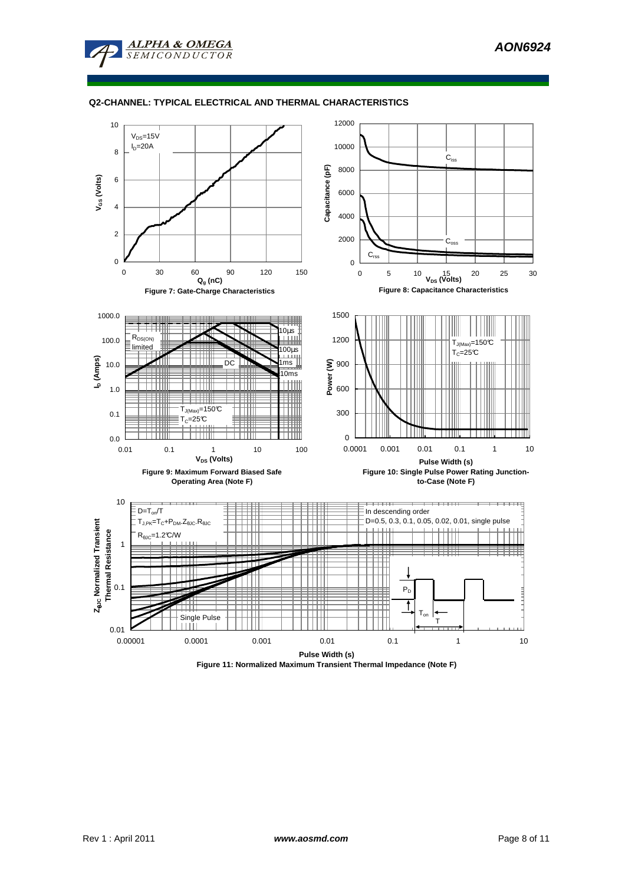



**Figure 11: Normalized Maximum Transient Thermal Impedance (Note F)**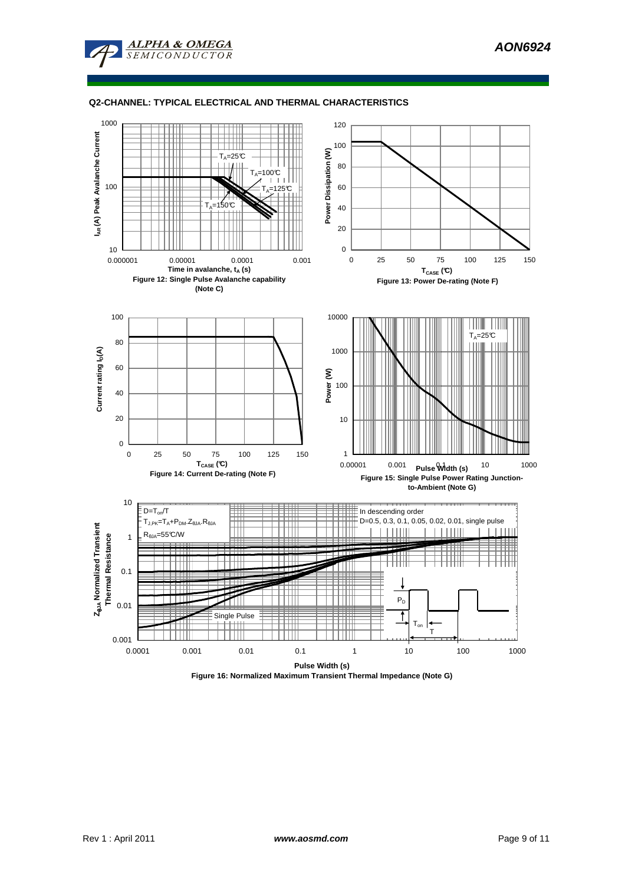



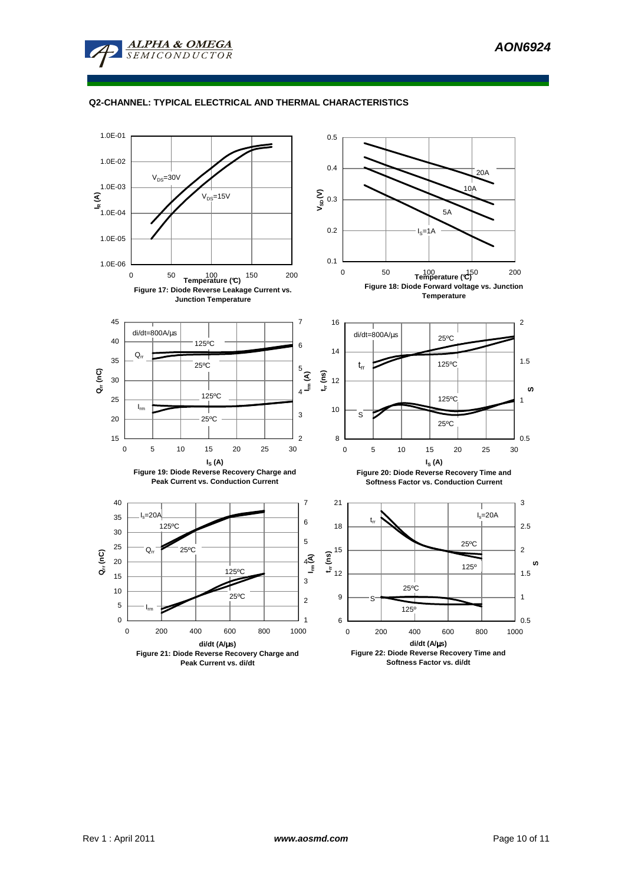